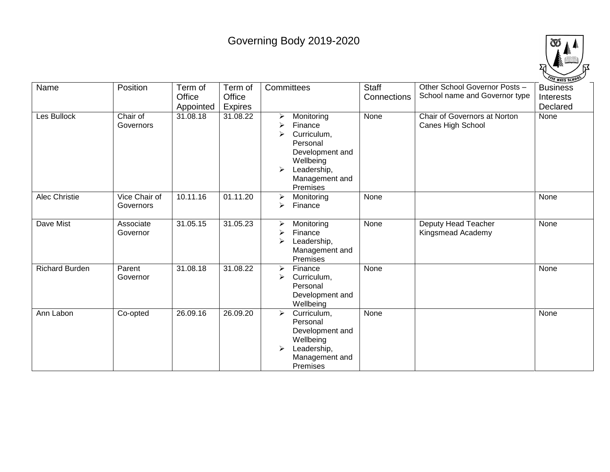## Governing Body 2019-2020



| Name                  | Position                   | Term of<br>Office     | Term of<br>Office   | Committees                                                                                                                                   | Staff<br>Connections | Other School Governor Posts -<br>School name and Governor type | <b>Business</b><br>Interests |
|-----------------------|----------------------------|-----------------------|---------------------|----------------------------------------------------------------------------------------------------------------------------------------------|----------------------|----------------------------------------------------------------|------------------------------|
| Les Bullock           | Chair of<br>Governors      | Appointed<br>31.08.18 | Expires<br>31.08.22 | Monitoring<br>⋗<br>Finance<br>Curriculum,<br>↘<br>Personal<br>Development and<br>Wellbeing<br>Leadership,<br>≻<br>Management and<br>Premises | None                 | Chair of Governors at Norton<br>Canes High School              | Declared<br>None             |
| Alec Christie         | Vice Chair of<br>Governors | 10.11.16              | 01.11.20            | Monitoring<br>↘<br>Finance<br>↘                                                                                                              | None                 |                                                                | None                         |
| Dave Mist             | Associate<br>Governor      | 31.05.15              | 31.05.23            | Monitoring<br>➤<br>Finance<br>Leadership,<br>↘<br>Management and<br>Premises                                                                 | None                 | Deputy Head Teacher<br>Kingsmead Academy                       | None                         |
| <b>Richard Burden</b> | Parent<br>Governor         | 31.08.18              | 31.08.22            | Finance<br>↘<br>Curriculum,<br>➤<br>Personal<br>Development and<br>Wellbeing                                                                 | None                 |                                                                | None                         |
| Ann Labon             | Co-opted                   | 26.09.16              | 26.09.20            | Curriculum,<br>$\blacktriangleright$<br>Personal<br>Development and<br>Wellbeing<br>Leadership,<br>⋗<br>Management and<br>Premises           | None                 |                                                                | None                         |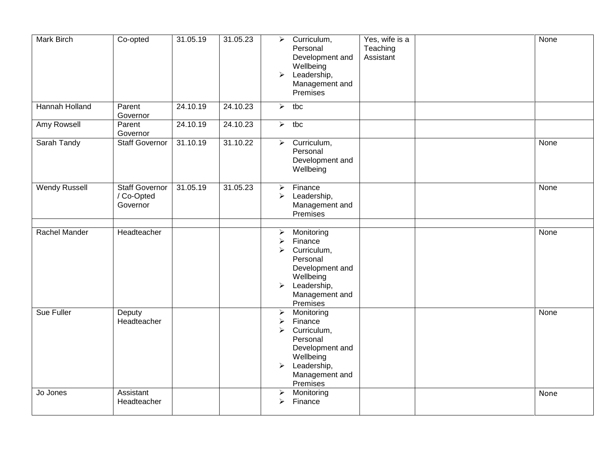| <b>Mark Birch</b>    | Co-opted                                        | 31.05.19 | 31.05.23 | $\blacktriangleright$<br>$\blacktriangleright$                                                   | Curriculum,<br>Personal<br>Development and<br>Wellbeing<br>Leadership,<br>Management and<br>Premises                          | Yes, wife is a<br>Teaching<br>Assistant | <b>None</b> |
|----------------------|-------------------------------------------------|----------|----------|--------------------------------------------------------------------------------------------------|-------------------------------------------------------------------------------------------------------------------------------|-----------------------------------------|-------------|
| Hannah Holland       | Parent<br>Governor                              | 24.10.19 | 24.10.23 | $\blacktriangleright$                                                                            | tbc                                                                                                                           |                                         |             |
| Amy Rowsell          | Parent<br>Governor                              | 24.10.19 | 24.10.23 | $\blacktriangleright$                                                                            | tbc                                                                                                                           |                                         |             |
| Sarah Tandy          | <b>Staff Governor</b>                           | 31.10.19 | 31.10.22 | $\blacktriangleright$                                                                            | Curriculum,<br>Personal<br>Development and<br>Wellbeing                                                                       |                                         | None        |
| <b>Wendy Russell</b> | <b>Staff Governor</b><br>/ Co-Opted<br>Governor | 31.05.19 | 31.05.23 | $\blacktriangleright$<br>$\blacktriangleright$                                                   | Finance<br>Leadership,<br>Management and<br>Premises                                                                          |                                         | None        |
| Rachel Mander        | Headteacher                                     |          |          | ➤<br>$\blacktriangleright$<br>$\blacktriangleright$<br>$\blacktriangleright$                     | Monitoring<br>Finance<br>Curriculum,<br>Personal<br>Development and<br>Wellbeing<br>Leadership,<br>Management and<br>Premises |                                         | None        |
| Sue Fuller           | Deputy<br>Headteacher                           |          |          | $\blacktriangleright$<br>$\blacktriangleright$<br>$\blacktriangleright$<br>$\blacktriangleright$ | Monitoring<br>Finance<br>Curriculum,<br>Personal<br>Development and<br>Wellbeing<br>Leadership,<br>Management and<br>Premises |                                         | None        |
| Jo Jones             | Assistant<br>Headteacher                        |          |          | ➤<br>➤                                                                                           | Monitoring<br>Finance                                                                                                         |                                         | None        |